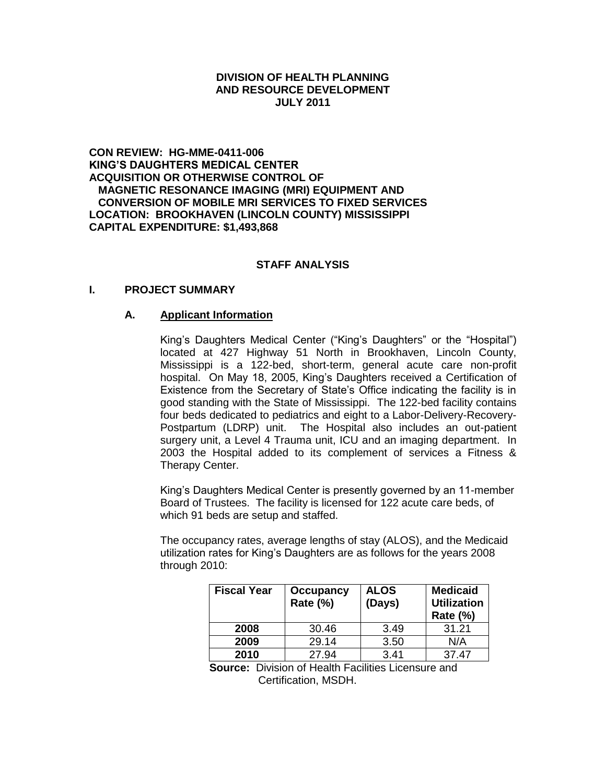#### **DIVISION OF HEALTH PLANNING AND RESOURCE DEVELOPMENT JULY 2011**

**CON REVIEW: HG-MME-0411-006 KING'S DAUGHTERS MEDICAL CENTER ACQUISITION OR OTHERWISE CONTROL OF MAGNETIC RESONANCE IMAGING (MRI) EQUIPMENT AND CONVERSION OF MOBILE MRI SERVICES TO FIXED SERVICES LOCATION: BROOKHAVEN (LINCOLN COUNTY) MISSISSIPPI CAPITAL EXPENDITURE: \$1,493,868**

#### **STAFF ANALYSIS**

#### **I. PROJECT SUMMARY**

#### **A. Applicant Information**

King's Daughters Medical Center ("King's Daughters" or the "Hospital") located at 427 Highway 51 North in Brookhaven, Lincoln County, Mississippi is a 122-bed, short-term, general acute care non-profit hospital. On May 18, 2005, King's Daughters received a Certification of Existence from the Secretary of State's Office indicating the facility is in good standing with the State of Mississippi. The 122-bed facility contains four beds dedicated to pediatrics and eight to a Labor-Delivery-Recovery-Postpartum (LDRP) unit. The Hospital also includes an out-patient surgery unit, a Level 4 Trauma unit, ICU and an imaging department. In 2003 the Hospital added to its complement of services a Fitness & Therapy Center.

King's Daughters Medical Center is presently governed by an 11-member Board of Trustees. The facility is licensed for 122 acute care beds, of which 91 beds are setup and staffed.

The occupancy rates, average lengths of stay (ALOS), and the Medicaid utilization rates for King's Daughters are as follows for the years 2008 through 2010:

| <b>Fiscal Year</b> | <b>Occupancy</b><br>Rate (%) | <b>ALOS</b><br>(Days) | <b>Medicaid</b><br><b>Utilization</b><br><b>Rate (%)</b> |
|--------------------|------------------------------|-----------------------|----------------------------------------------------------|
| 2008               | 30.46                        | 3.49                  | 31.21                                                    |
| 2009               | 29.14                        | 3.50                  | N/A                                                      |
| 2010               | 27.94                        | 3.41                  | 37.47                                                    |

**Source:** Division of Health Facilities Licensure and Certification, MSDH.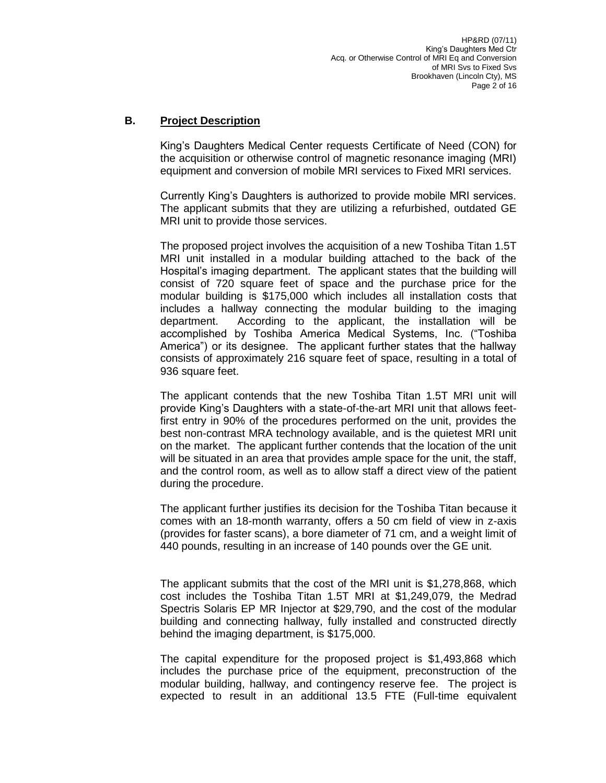## **B. Project Description**

King's Daughters Medical Center requests Certificate of Need (CON) for the acquisition or otherwise control of magnetic resonance imaging (MRI) equipment and conversion of mobile MRI services to Fixed MRI services.

Currently King's Daughters is authorized to provide mobile MRI services. The applicant submits that they are utilizing a refurbished, outdated GE MRI unit to provide those services.

The proposed project involves the acquisition of a new Toshiba Titan 1.5T MRI unit installed in a modular building attached to the back of the Hospital's imaging department. The applicant states that the building will consist of 720 square feet of space and the purchase price for the modular building is \$175,000 which includes all installation costs that includes a hallway connecting the modular building to the imaging department. According to the applicant, the installation will be accomplished by Toshiba America Medical Systems, Inc. ("Toshiba America") or its designee. The applicant further states that the hallway consists of approximately 216 square feet of space, resulting in a total of 936 square feet.

The applicant contends that the new Toshiba Titan 1.5T MRI unit will provide King's Daughters with a state-of-the-art MRI unit that allows feetfirst entry in 90% of the procedures performed on the unit, provides the best non-contrast MRA technology available, and is the quietest MRI unit on the market. The applicant further contends that the location of the unit will be situated in an area that provides ample space for the unit, the staff, and the control room, as well as to allow staff a direct view of the patient during the procedure.

The applicant further justifies its decision for the Toshiba Titan because it comes with an 18-month warranty, offers a 50 cm field of view in z-axis (provides for faster scans), a bore diameter of 71 cm, and a weight limit of 440 pounds, resulting in an increase of 140 pounds over the GE unit.

The applicant submits that the cost of the MRI unit is \$1,278,868, which cost includes the Toshiba Titan 1.5T MRI at \$1,249,079, the Medrad Spectris Solaris EP MR Injector at \$29,790, and the cost of the modular building and connecting hallway, fully installed and constructed directly behind the imaging department, is \$175,000.

The capital expenditure for the proposed project is \$1,493,868 which includes the purchase price of the equipment, preconstruction of the modular building, hallway, and contingency reserve fee. The project is expected to result in an additional 13.5 FTE (Full-time equivalent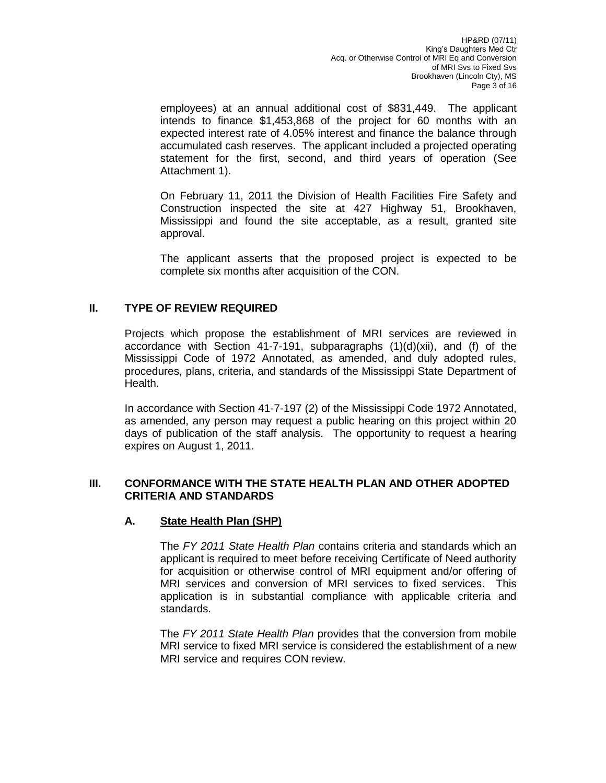employees) at an annual additional cost of \$831,449. The applicant intends to finance \$1,453,868 of the project for 60 months with an expected interest rate of 4.05% interest and finance the balance through accumulated cash reserves. The applicant included a projected operating statement for the first, second, and third years of operation (See Attachment 1).

On February 11, 2011 the Division of Health Facilities Fire Safety and Construction inspected the site at 427 Highway 51, Brookhaven, Mississippi and found the site acceptable, as a result, granted site approval.

The applicant asserts that the proposed project is expected to be complete six months after acquisition of the CON.

# **II. TYPE OF REVIEW REQUIRED**

Projects which propose the establishment of MRI services are reviewed in accordance with Section 41-7-191, subparagraphs  $(1)(d)(xii)$ , and  $(f)$  of the Mississippi Code of 1972 Annotated, as amended, and duly adopted rules, procedures, plans, criteria, and standards of the Mississippi State Department of Health.

In accordance with Section 41-7-197 (2) of the Mississippi Code 1972 Annotated, as amended, any person may request a public hearing on this project within 20 days of publication of the staff analysis. The opportunity to request a hearing expires on August 1, 2011.

### **III. CONFORMANCE WITH THE STATE HEALTH PLAN AND OTHER ADOPTED CRITERIA AND STANDARDS**

## **A. State Health Plan (SHP)**

The *FY 2011 State Health Plan* contains criteria and standards which an applicant is required to meet before receiving Certificate of Need authority for acquisition or otherwise control of MRI equipment and/or offering of MRI services and conversion of MRI services to fixed services. This application is in substantial compliance with applicable criteria and standards.

The *FY 2011 State Health Plan* provides that the conversion from mobile MRI service to fixed MRI service is considered the establishment of a new MRI service and requires CON review.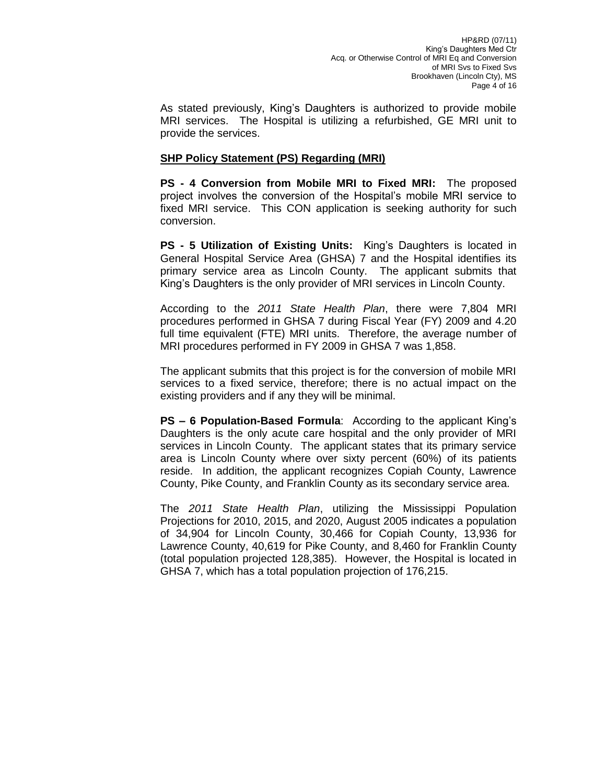As stated previously, King's Daughters is authorized to provide mobile MRI services. The Hospital is utilizing a refurbished, GE MRI unit to provide the services.

## **SHP Policy Statement (PS) Regarding (MRI)**

**PS - 4 Conversion from Mobile MRI to Fixed MRI:** The proposed project involves the conversion of the Hospital's mobile MRI service to fixed MRI service. This CON application is seeking authority for such conversion.

**PS - 5 Utilization of Existing Units:** King's Daughters is located in General Hospital Service Area (GHSA) 7 and the Hospital identifies its primary service area as Lincoln County. The applicant submits that King's Daughters is the only provider of MRI services in Lincoln County.

According to the *2011 State Health Plan*, there were 7,804 MRI procedures performed in GHSA 7 during Fiscal Year (FY) 2009 and 4.20 full time equivalent (FTE) MRI units. Therefore, the average number of MRI procedures performed in FY 2009 in GHSA 7 was 1,858.

The applicant submits that this project is for the conversion of mobile MRI services to a fixed service, therefore; there is no actual impact on the existing providers and if any they will be minimal.

**PS – 6 Population-Based Formula**: According to the applicant King's Daughters is the only acute care hospital and the only provider of MRI services in Lincoln County. The applicant states that its primary service area is Lincoln County where over sixty percent (60%) of its patients reside. In addition, the applicant recognizes Copiah County, Lawrence County, Pike County, and Franklin County as its secondary service area.

The *2011 State Health Plan*, utilizing the Mississippi Population Projections for 2010, 2015, and 2020, August 2005 indicates a population of 34,904 for Lincoln County, 30,466 for Copiah County, 13,936 for Lawrence County, 40,619 for Pike County, and 8,460 for Franklin County (total population projected 128,385). However, the Hospital is located in GHSA 7, which has a total population projection of 176,215.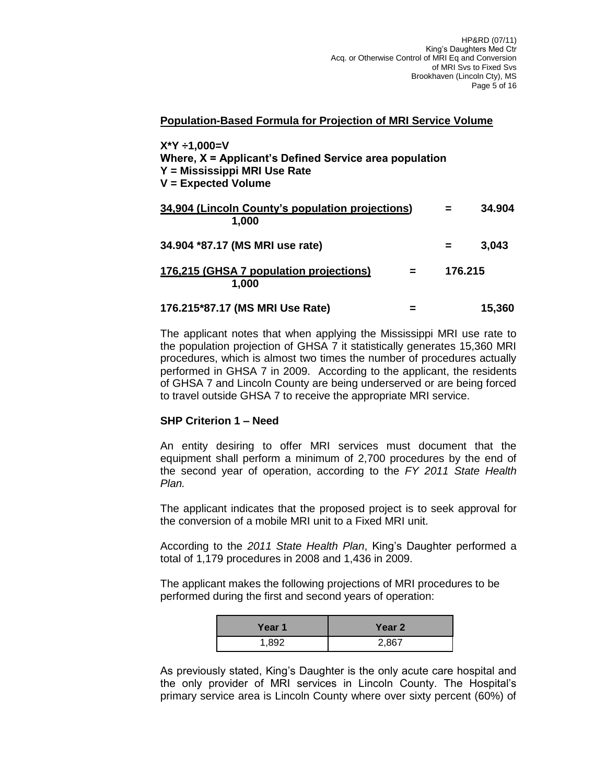#### **Population-Based Formula for Projection of MRI Service Volume**

| $X^*Y = 1,000 = V$<br>Where, $X =$ Applicant's Defined Service area population<br>Y = Mississippi MRI Use Rate<br>$V =$ Expected Volume |         |        |
|-----------------------------------------------------------------------------------------------------------------------------------------|---------|--------|
| 34,904 (Lincoln County's population projections)<br>1,000                                                                               | $=$     | 34.904 |
| 34.904 *87.17 (MS MRI use rate)                                                                                                         | =       | 3,043  |
| 176,215 (GHSA 7 population projections)<br>1,000                                                                                        | 176.215 |        |
| 176.215*87.17 (MS MRI Use Rate)                                                                                                         |         | 15.360 |

The applicant notes that when applying the Mississippi MRI use rate to the population projection of GHSA 7 it statistically generates 15,360 MRI procedures, which is almost two times the number of procedures actually performed in GHSA 7 in 2009. According to the applicant, the residents of GHSA 7 and Lincoln County are being underserved or are being forced to travel outside GHSA 7 to receive the appropriate MRI service.

#### **SHP Criterion 1 – Need**

An entity desiring to offer MRI services must document that the equipment shall perform a minimum of 2,700 procedures by the end of the second year of operation, according to the *FY 2011 State Health Plan.*

The applicant indicates that the proposed project is to seek approval for the conversion of a mobile MRI unit to a Fixed MRI unit.

According to the *2011 State Health Plan*, King's Daughter performed a total of 1,179 procedures in 2008 and 1,436 in 2009.

The applicant makes the following projections of MRI procedures to be performed during the first and second years of operation:

| Year 1 | Year 2 |
|--------|--------|
| 1.892  | 2,867  |

As previously stated, King's Daughter is the only acute care hospital and the only provider of MRI services in Lincoln County. The Hospital's primary service area is Lincoln County where over sixty percent (60%) of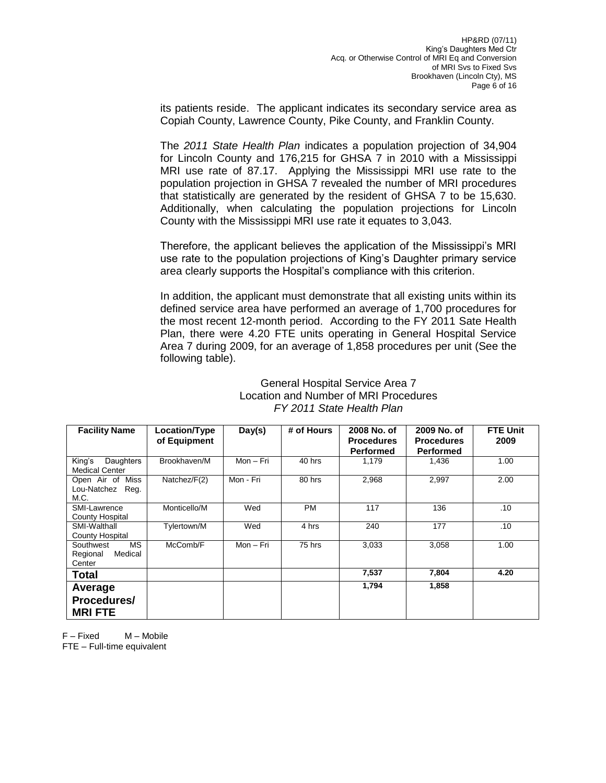its patients reside. The applicant indicates its secondary service area as Copiah County, Lawrence County, Pike County, and Franklin County.

The *2011 State Health Plan* indicates a population projection of 34,904 for Lincoln County and 176,215 for GHSA 7 in 2010 with a Mississippi MRI use rate of 87.17. Applying the Mississippi MRI use rate to the population projection in GHSA 7 revealed the number of MRI procedures that statistically are generated by the resident of GHSA 7 to be 15,630. Additionally, when calculating the population projections for Lincoln County with the Mississippi MRI use rate it equates to 3,043.

Therefore, the applicant believes the application of the Mississippi's MRI use rate to the population projections of King's Daughter primary service area clearly supports the Hospital's compliance with this criterion.

In addition, the applicant must demonstrate that all existing units within its defined service area have performed an average of 1,700 procedures for the most recent 12-month period. According to the FY 2011 Sate Health Plan, there were 4.20 FTE units operating in General Hospital Service Area 7 during 2009, for an average of 1,858 procedures per unit (See the following table).

| <b>Facility Name</b>                                    | Location/Type<br>of Equipment | Day(s)    | # of Hours | 2008 No. of<br><b>Procedures</b><br><b>Performed</b> | 2009 No. of<br><b>Procedures</b><br><b>Performed</b> | <b>FTE Unit</b><br>2009 |
|---------------------------------------------------------|-------------------------------|-----------|------------|------------------------------------------------------|------------------------------------------------------|-------------------------|
| Daughters<br>King's<br><b>Medical Center</b>            | Brookhaven/M                  | Mon - Fri | 40 hrs     | 1,179                                                | 1,436                                                | 1.00                    |
| Open Air of Miss<br>Lou-Natchez Reg.<br>M.C.            | Natchez/F(2)                  | Mon - Fri | 80 hrs     | 2,968                                                | 2,997                                                | 2.00                    |
| SMI-Lawrence<br><b>County Hospital</b>                  | Monticello/M                  | Wed       | <b>PM</b>  | 117                                                  | 136                                                  | .10                     |
| SMI-Walthall<br>County Hospital                         | Tylertown/M                   | Wed       | 4 hrs      | 240                                                  | 177                                                  | .10                     |
| <b>MS</b><br>Southwest<br>Regional<br>Medical<br>Center | McComb/F                      | Mon - Fri | 75 hrs     | 3,033                                                | 3,058                                                | 1.00                    |
| <b>Total</b>                                            |                               |           |            | 7,537                                                | 7,804                                                | 4.20                    |
| Average<br>Procedures/<br><b>MRIFTE</b>                 |                               |           |            | 1,794                                                | 1,858                                                |                         |

#### General Hospital Service Area 7 Location and Number of MRI Procedures *FY 2011 State Health Plan*

F – Fixed M – Mobile FTE – Full-time equivalent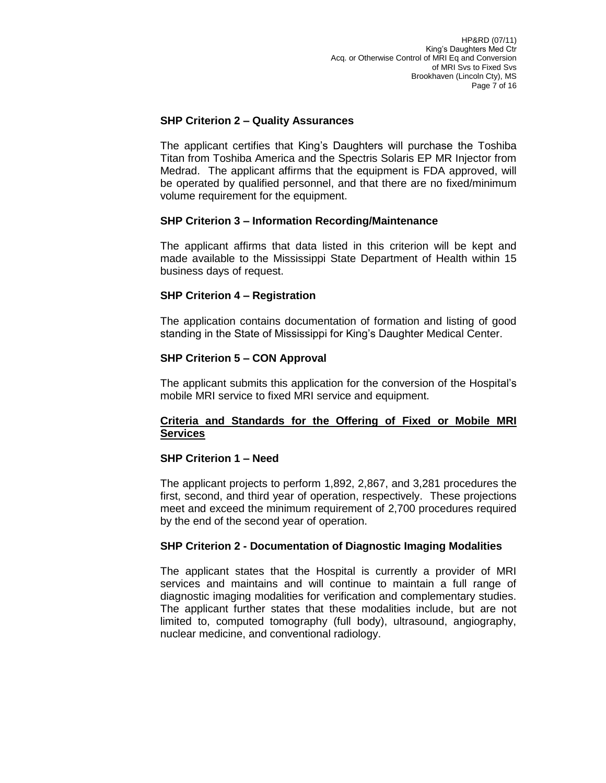## **SHP Criterion 2 – Quality Assurances**

The applicant certifies that King's Daughters will purchase the Toshiba Titan from Toshiba America and the Spectris Solaris EP MR Injector from Medrad. The applicant affirms that the equipment is FDA approved, will be operated by qualified personnel, and that there are no fixed/minimum volume requirement for the equipment.

### **SHP Criterion 3 – Information Recording/Maintenance**

The applicant affirms that data listed in this criterion will be kept and made available to the Mississippi State Department of Health within 15 business days of request.

### **SHP Criterion 4 – Registration**

The application contains documentation of formation and listing of good standing in the State of Mississippi for King's Daughter Medical Center.

### **SHP Criterion 5 – CON Approval**

The applicant submits this application for the conversion of the Hospital's mobile MRI service to fixed MRI service and equipment.

### **Criteria and Standards for the Offering of Fixed or Mobile MRI Services**

#### **SHP Criterion 1 – Need**

The applicant projects to perform 1,892, 2,867, and 3,281 procedures the first, second, and third year of operation, respectively. These projections meet and exceed the minimum requirement of 2,700 procedures required by the end of the second year of operation.

## **SHP Criterion 2 - Documentation of Diagnostic Imaging Modalities**

The applicant states that the Hospital is currently a provider of MRI services and maintains and will continue to maintain a full range of diagnostic imaging modalities for verification and complementary studies. The applicant further states that these modalities include, but are not limited to, computed tomography (full body), ultrasound, angiography, nuclear medicine, and conventional radiology.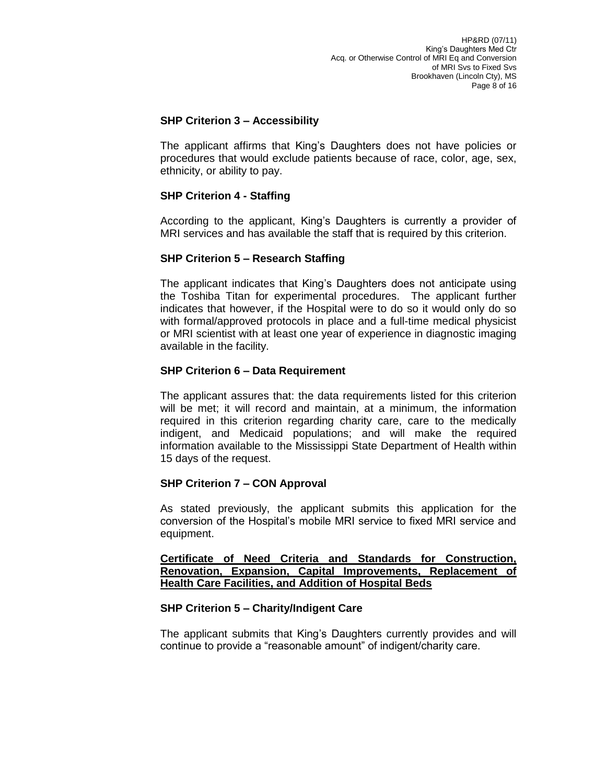## **SHP Criterion 3 – Accessibility**

The applicant affirms that King's Daughters does not have policies or procedures that would exclude patients because of race, color, age, sex, ethnicity, or ability to pay.

## **SHP Criterion 4 - Staffing**

According to the applicant, King's Daughters is currently a provider of MRI services and has available the staff that is required by this criterion.

### **SHP Criterion 5 – Research Staffing**

The applicant indicates that King's Daughters does not anticipate using the Toshiba Titan for experimental procedures. The applicant further indicates that however, if the Hospital were to do so it would only do so with formal/approved protocols in place and a full-time medical physicist or MRI scientist with at least one year of experience in diagnostic imaging available in the facility.

### **SHP Criterion 6 – Data Requirement**

The applicant assures that: the data requirements listed for this criterion will be met; it will record and maintain, at a minimum, the information required in this criterion regarding charity care, care to the medically indigent, and Medicaid populations; and will make the required information available to the Mississippi State Department of Health within 15 days of the request.

## **SHP Criterion 7 – CON Approval**

As stated previously, the applicant submits this application for the conversion of the Hospital's mobile MRI service to fixed MRI service and equipment.

#### **Certificate of Need Criteria and Standards for Construction, Renovation, Expansion, Capital Improvements, Replacement of Health Care Facilities, and Addition of Hospital Beds**

#### **SHP Criterion 5 – Charity/Indigent Care**

The applicant submits that King's Daughters currently provides and will continue to provide a "reasonable amount" of indigent/charity care.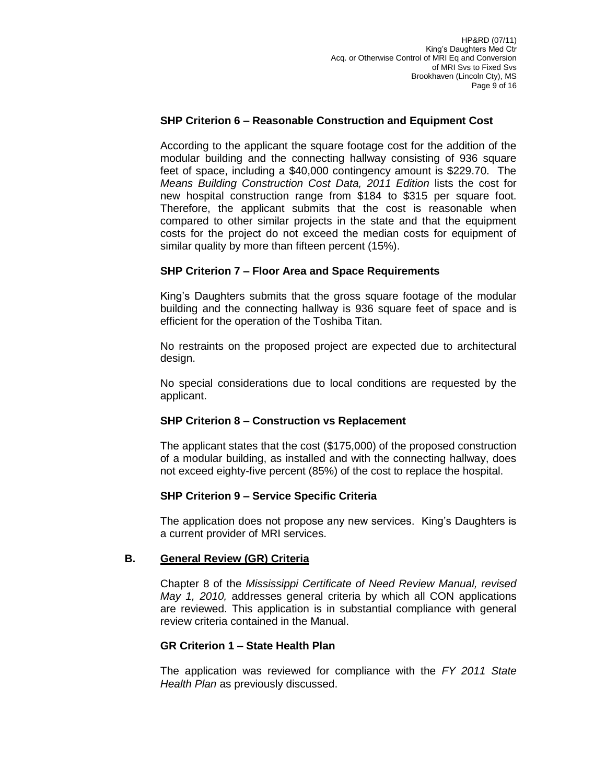## **SHP Criterion 6 – Reasonable Construction and Equipment Cost**

According to the applicant the square footage cost for the addition of the modular building and the connecting hallway consisting of 936 square feet of space, including a \$40,000 contingency amount is \$229.70. The *Means Building Construction Cost Data, 2011 Edition* lists the cost for new hospital construction range from \$184 to \$315 per square foot. Therefore, the applicant submits that the cost is reasonable when compared to other similar projects in the state and that the equipment costs for the project do not exceed the median costs for equipment of similar quality by more than fifteen percent (15%).

### **SHP Criterion 7 – Floor Area and Space Requirements**

King's Daughters submits that the gross square footage of the modular building and the connecting hallway is 936 square feet of space and is efficient for the operation of the Toshiba Titan.

No restraints on the proposed project are expected due to architectural design.

No special considerations due to local conditions are requested by the applicant.

#### **SHP Criterion 8 – Construction vs Replacement**

The applicant states that the cost (\$175,000) of the proposed construction of a modular building, as installed and with the connecting hallway, does not exceed eighty-five percent (85%) of the cost to replace the hospital.

#### **SHP Criterion 9 – Service Specific Criteria**

The application does not propose any new services. King's Daughters is a current provider of MRI services.

#### **B. General Review (GR) Criteria**

Chapter 8 of the *Mississippi Certificate of Need Review Manual, revised May 1, 2010,* addresses general criteria by which all CON applications are reviewed. This application is in substantial compliance with general review criteria contained in the Manual.

#### **GR Criterion 1 – State Health Plan**

The application was reviewed for compliance with the *FY 2011 State Health Plan* as previously discussed.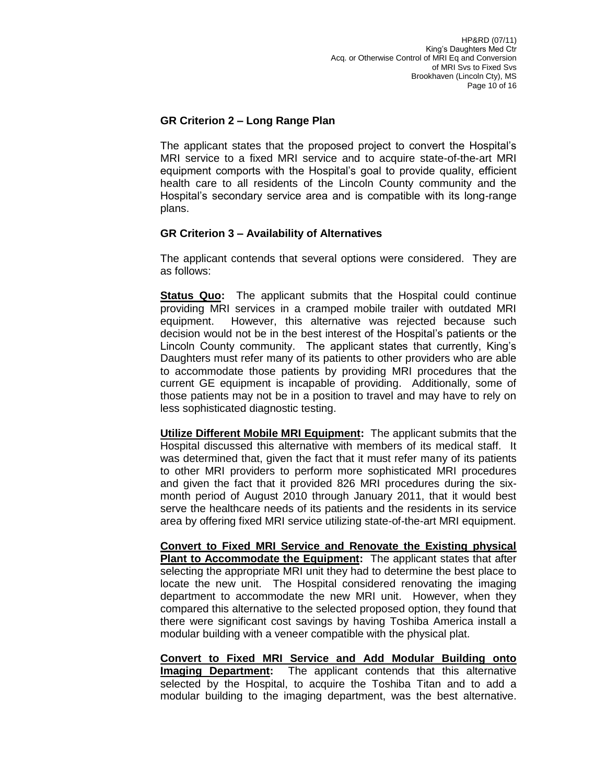## **GR Criterion 2 – Long Range Plan**

The applicant states that the proposed project to convert the Hospital's MRI service to a fixed MRI service and to acquire state-of-the-art MRI equipment comports with the Hospital's goal to provide quality, efficient health care to all residents of the Lincoln County community and the Hospital's secondary service area and is compatible with its long-range plans.

## **GR Criterion 3 – Availability of Alternatives**

The applicant contends that several options were considered. They are as follows:

**Status Quo:** The applicant submits that the Hospital could continue providing MRI services in a cramped mobile trailer with outdated MRI equipment. However, this alternative was rejected because such decision would not be in the best interest of the Hospital's patients or the Lincoln County community. The applicant states that currently, King's Daughters must refer many of its patients to other providers who are able to accommodate those patients by providing MRI procedures that the current GE equipment is incapable of providing. Additionally, some of those patients may not be in a position to travel and may have to rely on less sophisticated diagnostic testing.

**Utilize Different Mobile MRI Equipment:** The applicant submits that the Hospital discussed this alternative with members of its medical staff. It was determined that, given the fact that it must refer many of its patients to other MRI providers to perform more sophisticated MRI procedures and given the fact that it provided 826 MRI procedures during the sixmonth period of August 2010 through January 2011, that it would best serve the healthcare needs of its patients and the residents in its service area by offering fixed MRI service utilizing state-of-the-art MRI equipment.

**Convert to Fixed MRI Service and Renovate the Existing physical Plant to Accommodate the Equipment:** The applicant states that after selecting the appropriate MRI unit they had to determine the best place to locate the new unit. The Hospital considered renovating the imaging department to accommodate the new MRI unit. However, when they compared this alternative to the selected proposed option, they found that there were significant cost savings by having Toshiba America install a modular building with a veneer compatible with the physical plat.

**Convert to Fixed MRI Service and Add Modular Building onto Imaging Department:** The applicant contends that this alternative selected by the Hospital, to acquire the Toshiba Titan and to add a modular building to the imaging department, was the best alternative.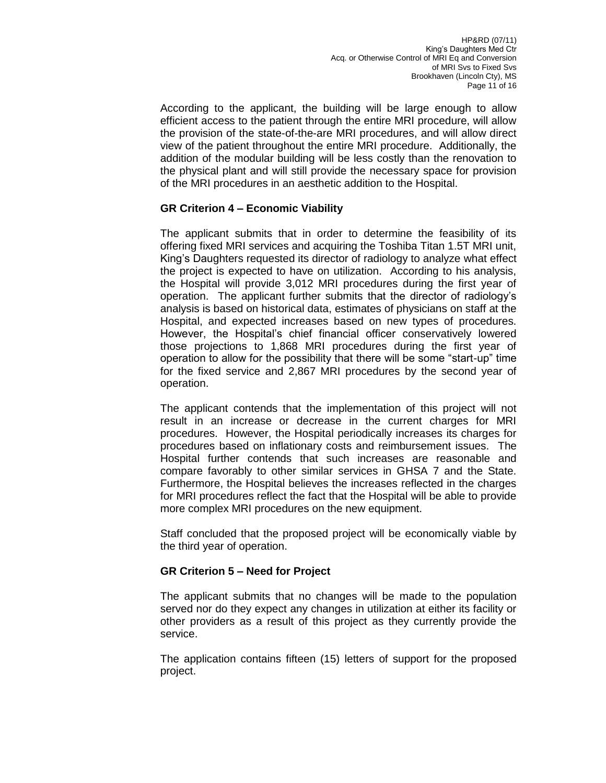According to the applicant, the building will be large enough to allow efficient access to the patient through the entire MRI procedure, will allow the provision of the state-of-the-are MRI procedures, and will allow direct view of the patient throughout the entire MRI procedure. Additionally, the addition of the modular building will be less costly than the renovation to the physical plant and will still provide the necessary space for provision of the MRI procedures in an aesthetic addition to the Hospital.

## **GR Criterion 4 – Economic Viability**

The applicant submits that in order to determine the feasibility of its offering fixed MRI services and acquiring the Toshiba Titan 1.5T MRI unit, King's Daughters requested its director of radiology to analyze what effect the project is expected to have on utilization. According to his analysis, the Hospital will provide 3,012 MRI procedures during the first year of operation. The applicant further submits that the director of radiology's analysis is based on historical data, estimates of physicians on staff at the Hospital, and expected increases based on new types of procedures. However, the Hospital's chief financial officer conservatively lowered those projections to 1,868 MRI procedures during the first year of operation to allow for the possibility that there will be some "start-up" time for the fixed service and 2,867 MRI procedures by the second year of operation.

The applicant contends that the implementation of this project will not result in an increase or decrease in the current charges for MRI procedures. However, the Hospital periodically increases its charges for procedures based on inflationary costs and reimbursement issues. The Hospital further contends that such increases are reasonable and compare favorably to other similar services in GHSA 7 and the State. Furthermore, the Hospital believes the increases reflected in the charges for MRI procedures reflect the fact that the Hospital will be able to provide more complex MRI procedures on the new equipment.

Staff concluded that the proposed project will be economically viable by the third year of operation.

## **GR Criterion 5 – Need for Project**

The applicant submits that no changes will be made to the population served nor do they expect any changes in utilization at either its facility or other providers as a result of this project as they currently provide the service.

The application contains fifteen (15) letters of support for the proposed project.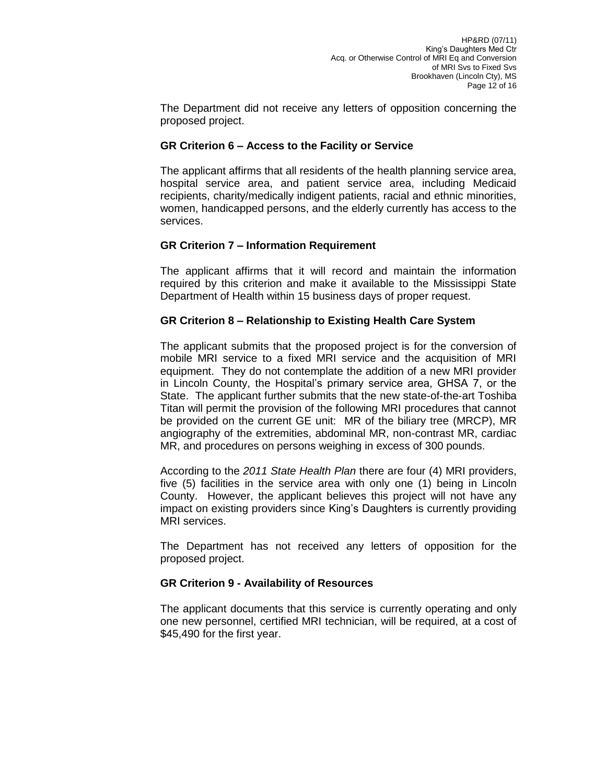The Department did not receive any letters of opposition concerning the proposed project.

## **GR Criterion 6 – Access to the Facility or Service**

The applicant affirms that all residents of the health planning service area, hospital service area, and patient service area, including Medicaid recipients, charity/medically indigent patients, racial and ethnic minorities, women, handicapped persons, and the elderly currently has access to the services.

## **GR Criterion 7 – Information Requirement**

The applicant affirms that it will record and maintain the information required by this criterion and make it available to the Mississippi State Department of Health within 15 business days of proper request.

### **GR Criterion 8 – Relationship to Existing Health Care System**

The applicant submits that the proposed project is for the conversion of mobile MRI service to a fixed MRI service and the acquisition of MRI equipment. They do not contemplate the addition of a new MRI provider in Lincoln County, the Hospital's primary service area, GHSA 7, or the State. The applicant further submits that the new state-of-the-art Toshiba Titan will permit the provision of the following MRI procedures that cannot be provided on the current GE unit: MR of the biliary tree (MRCP), MR angiography of the extremities, abdominal MR, non-contrast MR, cardiac MR, and procedures on persons weighing in excess of 300 pounds.

According to the *2011 State Health Plan* there are four (4) MRI providers, five (5) facilities in the service area with only one (1) being in Lincoln County. However, the applicant believes this project will not have any impact on existing providers since King's Daughters is currently providing MRI services.

The Department has not received any letters of opposition for the proposed project.

#### **GR Criterion 9 - Availability of Resources**

The applicant documents that this service is currently operating and only one new personnel, certified MRI technician, will be required, at a cost of \$45,490 for the first year.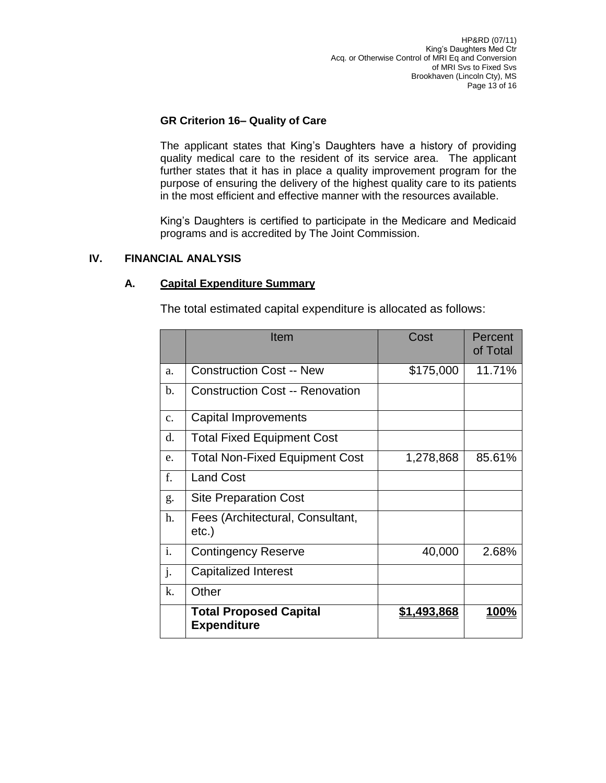# **GR Criterion 16– Quality of Care**

The applicant states that King's Daughters have a history of providing quality medical care to the resident of its service area. The applicant further states that it has in place a quality improvement program for the purpose of ensuring the delivery of the highest quality care to its patients in the most efficient and effective manner with the resources available.

King's Daughters is certified to participate in the Medicare and Medicaid programs and is accredited by The Joint Commission.

### **IV. FINANCIAL ANALYSIS**

## **A. Capital Expenditure Summary**

The total estimated capital expenditure is allocated as follows:

|             | Item                                                | Cost               | Percent<br>of Total |
|-------------|-----------------------------------------------------|--------------------|---------------------|
| a.          | <b>Construction Cost -- New</b>                     | \$175,000          | 11.71%              |
| b.          | <b>Construction Cost -- Renovation</b>              |                    |                     |
| $C_{\star}$ | Capital Improvements                                |                    |                     |
| d.          | <b>Total Fixed Equipment Cost</b>                   |                    |                     |
| e.          | <b>Total Non-Fixed Equipment Cost</b>               | 1,278,868          | 85.61%              |
| f.          | <b>Land Cost</b>                                    |                    |                     |
| g.          | <b>Site Preparation Cost</b>                        |                    |                     |
| h.          | Fees (Architectural, Consultant,<br>etc.)           |                    |                     |
| i.          | <b>Contingency Reserve</b>                          | 40,000             | 2.68%               |
| j.          | Capitalized Interest                                |                    |                     |
| k.          | Other                                               |                    |                     |
|             | <b>Total Proposed Capital</b><br><b>Expenditure</b> | <u>\$1,493,868</u> | <u> 100%</u>        |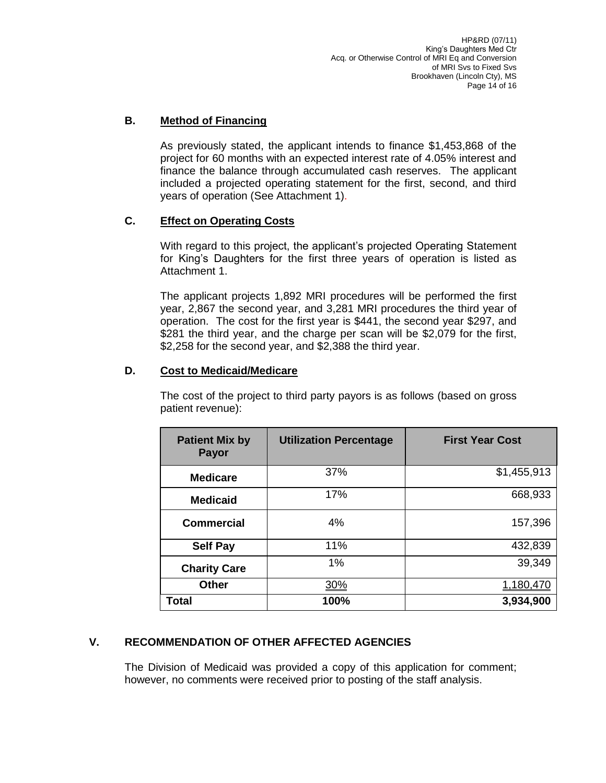# **B. Method of Financing**

As previously stated, the applicant intends to finance \$1,453,868 of the project for 60 months with an expected interest rate of 4.05% interest and finance the balance through accumulated cash reserves. The applicant included a projected operating statement for the first, second, and third years of operation (See Attachment 1).

## **C. Effect on Operating Costs**

With regard to this project, the applicant's projected Operating Statement for King's Daughters for the first three years of operation is listed as Attachment 1.

The applicant projects 1,892 MRI procedures will be performed the first year, 2,867 the second year, and 3,281 MRI procedures the third year of operation. The cost for the first year is \$441, the second year \$297, and \$281 the third year, and the charge per scan will be \$2,079 for the first, \$2,258 for the second year, and \$2,388 the third year.

# **D. Cost to Medicaid/Medicare**

The cost of the project to third party payors is as follows (based on gross patient revenue):

| <b>Patient Mix by</b><br><b>Payor</b> | <b>Utilization Percentage</b> | <b>First Year Cost</b> |
|---------------------------------------|-------------------------------|------------------------|
| <b>Medicare</b>                       | 37%                           | \$1,455,913            |
| <b>Medicaid</b>                       | 17%                           | 668,933                |
| <b>Commercial</b>                     | 4%                            | 157,396                |
| <b>Self Pay</b>                       | 11%                           | 432,839                |
| <b>Charity Care</b>                   | 1%                            | 39,349                 |
| <b>Other</b>                          | 30%                           | 1,180,470              |
| <b>Total</b>                          | 100%                          | 3,934,900              |

# **V. RECOMMENDATION OF OTHER AFFECTED AGENCIES**

The Division of Medicaid was provided a copy of this application for comment; however, no comments were received prior to posting of the staff analysis.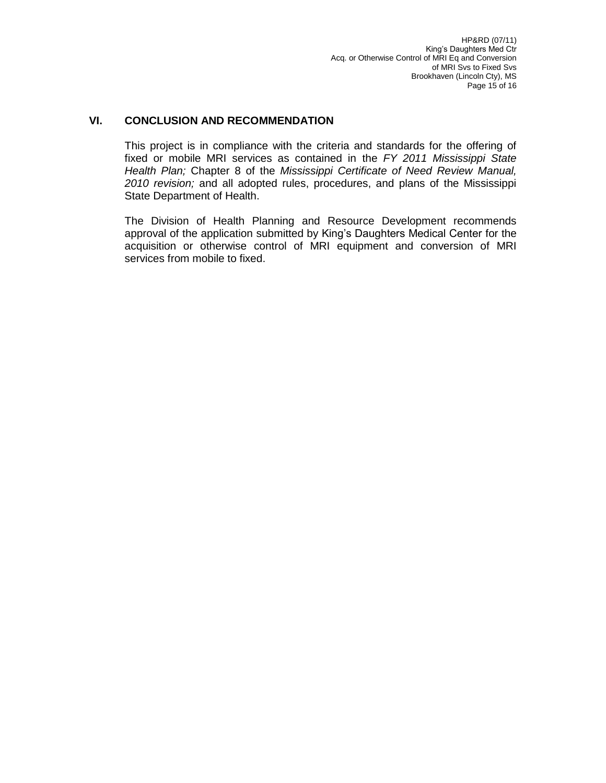# **VI. CONCLUSION AND RECOMMENDATION**

This project is in compliance with the criteria and standards for the offering of fixed or mobile MRI services as contained in the *FY 2011 Mississippi State Health Plan;* Chapter 8 of the *Mississippi Certificate of Need Review Manual, 2010 revision;* and all adopted rules, procedures, and plans of the Mississippi State Department of Health.

The Division of Health Planning and Resource Development recommends approval of the application submitted by King's Daughters Medical Center for the acquisition or otherwise control of MRI equipment and conversion of MRI services from mobile to fixed.